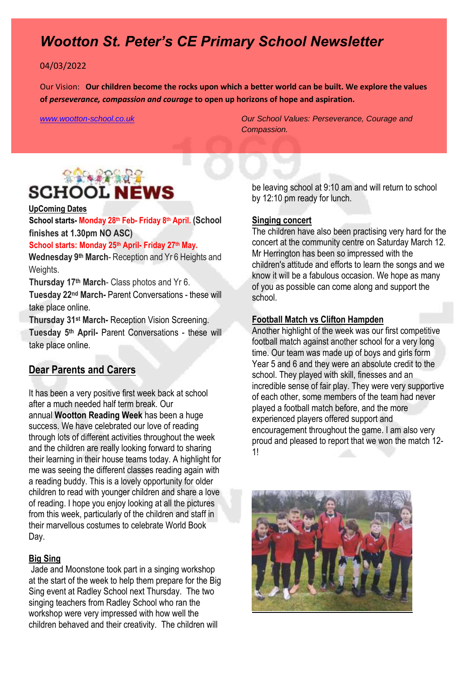# *Wootton St. Peter's CE Primary School Newsletter*

#### 04/03/2022

Our Vision: **Our children become the rocks upon which a better world can be built. We explore the values of** *perseverance, compassion and courage* **to open up horizons of hope and aspiration.** 

*[www.wootton-school.co.uk](http://www.wootton-school.co.uk/) Our School Values: Perseverance, Courage and Compassion.*

# **SACRA AND A SCHOOL NEWS**

### **UpComing Dates**

**School starts- Monday 28th Feb- Friday 8th April. (School finishes at 1.30pm NO ASC)**

### **School starts: Monday 25th April- Friday 27th May.**

**Wednesday 9th March**- Reception and Yr 6 Heights and Weights.

**Thursday 17th March**- Class photos and Yr 6.

**Tuesday 22nd March-** Parent Conversations - these will take place online.

**Thursday 31st March-** Reception Vision Screening. **Tuesday 5th April-** Parent Conversations - these will take place online.

### **Dear Parents and Carers**

It has been a very positive first week back at school after a much needed half term break. Our annual **Wootton Reading Week** has been a huge success. We have celebrated our love of reading through lots of different activities throughout the week and the children are really looking forward to sharing their learning in their house teams today. A highlight for me was seeing the different classes reading again with a reading buddy. This is a lovely opportunity for older children to read with younger children and share a love of reading. I hope you enjoy looking at all the pictures from this week, particularly of the children and staff in their marvellous costumes to celebrate World Book Day.

#### **Big Sing**

Jade and Moonstone took part in a singing workshop at the start of the week to help them prepare for the Big Sing event at Radley School next Thursday. The two singing teachers from Radley School who ran the workshop were very impressed with how well the children behaved and their creativity. The children will

be leaving school at 9:10 am and will return to school by 12:10 pm ready for lunch.

#### **Singing concert**

The children have also been practising very hard for the concert at the community centre on Saturday March 12. Mr Herrington has been so impressed with the children's attitude and efforts to learn the songs and we know it will be a fabulous occasion. We hope as many of you as possible can come along and support the school.

### **Football Match vs Clifton Hampden**

Another highlight of the week was our first competitive football match against another school for a very long time. Our team was made up of boys and girls form Year 5 and 6 and they were an absolute credit to the school. They played with skill, finesses and an incredible sense of fair play. They were very supportive of each other, some members of the team had never played a football match before, and the more experienced players offered support and encouragement throughout the game. I am also very proud and pleased to report that we won the match 12- 1!

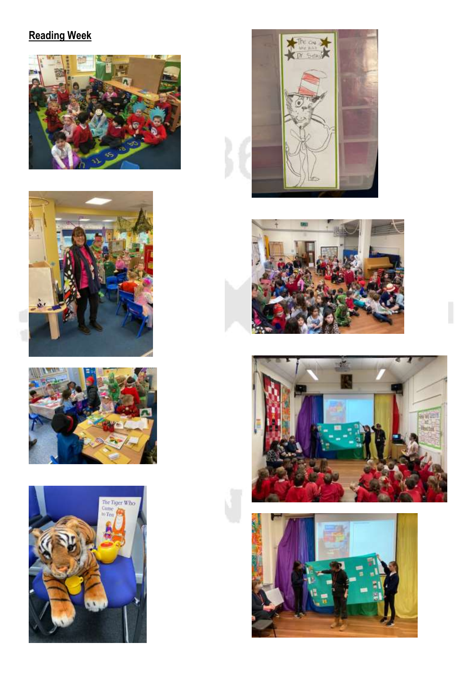# **Reading Week**















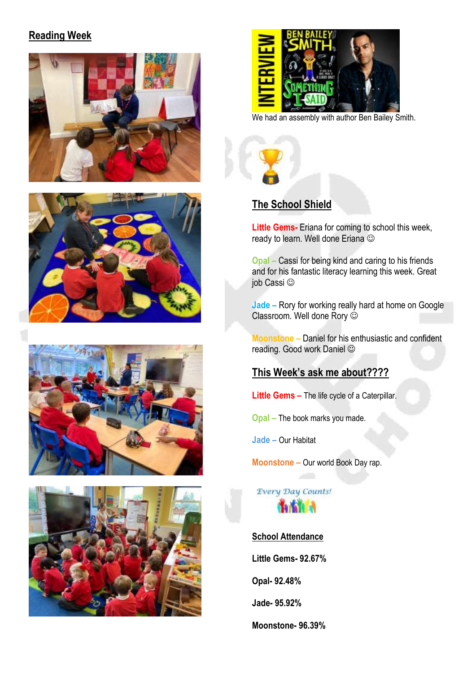## **Reading Week**











We had an assembly with author Ben Bailey Smith.



**Little Gems-** Eriana for coming to school this week, ready to learn. Well done Eriana

**Opal –** Cassi for being kind and caring to his friends and for his fantastic literacy learning this week. Great job Cassi

**Jade –** Rory for working really hard at home on Google Classroom. Well done Rory

**Moonstone –** Daniel for his enthusiastic and confident reading. Good work Daniel

### **This Week's ask me about????**

**Little Gems –** The life cycle of a Caterpillar.

**Opal –** The book marks you made.

**Jade –** Our Habitat

**Moonstone –** Our world Book Day rap.

Every Day Counts!

**School Attendance** 

**Little Gems- 92.67%**

**Opal- 92.48%**

**Jade- 95.92%**

**Moonstone- 96.39%**